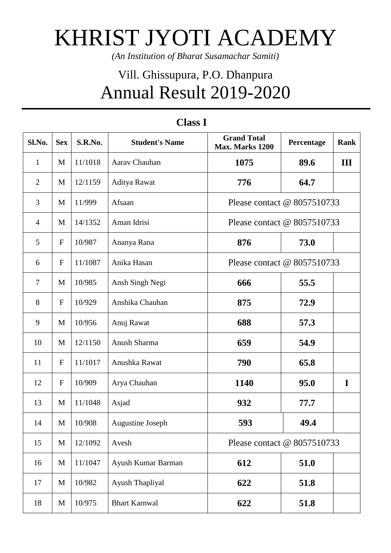## KHRIST JYOTI ACADEMY

*(An Institution of Bharat Susamachar Samiti)*

## Vill. Ghissupura, P.O. Dhanpura Annual Result 2019-2020

| Sl.No.         | <b>Sex</b>                | S.R.No. | <b>Student's Name</b> | <b>Grand Total</b><br>Max. Marks 1200 | Percentage | <b>Rank</b> |
|----------------|---------------------------|---------|-----------------------|---------------------------------------|------------|-------------|
| $\mathbf{1}$   | M                         | 11/1018 | Aarav Chauhan         | 1075                                  | 89.6       | III         |
| $\overline{2}$ | M                         | 12/1159 | Aditya Rawat          | 776                                   | 64.7       |             |
| 3              | M                         | 11/999  | Afsaan                | Please contact @ 8057510733           |            |             |
| $\overline{4}$ | M                         | 14/1352 | Aman Idrisi           | Please contact $@$ 8057510733         |            |             |
| 5              | $\boldsymbol{\mathrm{F}}$ | 10/987  | Ananya Rana           | 876                                   | 73.0       |             |
| 6              | ${\bf F}$                 | 11/1087 | Anika Hasan           | Please contact @ 8057510733           |            |             |
| $\overline{7}$ | M                         | 10/985  | Ansh Singh Negi       | 666                                   | 55.5       |             |
| $8\,$          | $\boldsymbol{\mathrm{F}}$ | 10/929  | Anshika Chauhan       | 875                                   | 72.9       |             |
| 9              | M                         | 10/956  | Anuj Rawat            | 688                                   | 57.3       |             |
| 10             | M                         | 12/1150 | Anush Sharma          | 659                                   | 54.9       |             |
| 11             | $\boldsymbol{\mathrm{F}}$ | 11/1017 | Anushka Rawat         | 790                                   | 65.8       |             |
| 12             | $\mathbf F$               | 10/909  | Arya Chauhan          | 1140                                  | 95.0       | I           |
| 13             | M                         | 11/1048 | Asjad                 | 932                                   | 77.7       |             |
| 14             | M                         | 10/908  | Augustine Joseph      | 593                                   | 49.4       |             |
| 15             | $\mathbf M$               | 12/1092 | Avesh                 | Please contact @ 8057510733           |            |             |
| 16             | $\mathbf M$               | 11/1047 | Ayush Kumar Barman    | 612                                   | 51.0       |             |
| 17             | $\mathbf M$               | 10/982  | Ayush Thapliyal       | 622                                   | 51.8       |             |
| 18             | $\mathbf M$               | 10/975  | <b>Bhart Karnwal</b>  | 622                                   | 51.8       |             |

## **Class I**